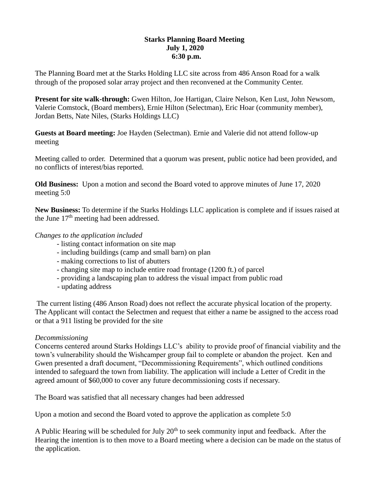# **Starks Planning Board Meeting July 1, 2020 6:30 p.m.**

The Planning Board met at the Starks Holding LLC site across from 486 Anson Road for a walk through of the proposed solar array project and then reconvened at the Community Center.

**Present for site walk-through:** Gwen Hilton, Joe Hartigan, Claire Nelson, Ken Lust, John Newsom, Valerie Comstock, (Board members), Ernie Hilton (Selectman), Eric Hoar (community member), Jordan Betts, Nate Niles, (Starks Holdings LLC)

**Guests at Board meeting:** Joe Hayden (Selectman). Ernie and Valerie did not attend follow-up meeting

Meeting called to order. Determined that a quorum was present, public notice had been provided, and no conflicts of interest/bias reported.

**Old Business:** Upon a motion and second the Board voted to approve minutes of June 17, 2020 meeting 5:0

**New Business:** To determine if the Starks Holdings LLC application is complete and if issues raised at the June  $17<sup>th</sup>$  meeting had been addressed.

# *Changes to the application included*

- listing contact information on site map
- including buildings (camp and small barn) on plan
- making corrections to list of abutters
- changing site map to include entire road frontage (1200 ft.) of parcel
- providing a landscaping plan to address the visual impact from public road
- updating address

The current listing (486 Anson Road) does not reflect the accurate physical location of the property. The Applicant will contact the Selectmen and request that either a name be assigned to the access road or that a 911 listing be provided for the site

## *Decommissioning*

Concerns centered around Starks Holdings LLC's ability to provide proof of financial viability and the town's vulnerability should the Wishcamper group fail to complete or abandon the project. Ken and Gwen presented a draft document, "Decommissioning Requirements", which outlined conditions intended to safeguard the town from liability. The application will include a Letter of Credit in the agreed amount of \$60,000 to cover any future decommissioning costs if necessary.

The Board was satisfied that all necessary changes had been addressed

Upon a motion and second the Board voted to approve the application as complete 5:0

A Public Hearing will be scheduled for July  $20<sup>th</sup>$  to seek community input and feedback. After the Hearing the intention is to then move to a Board meeting where a decision can be made on the status of the application.